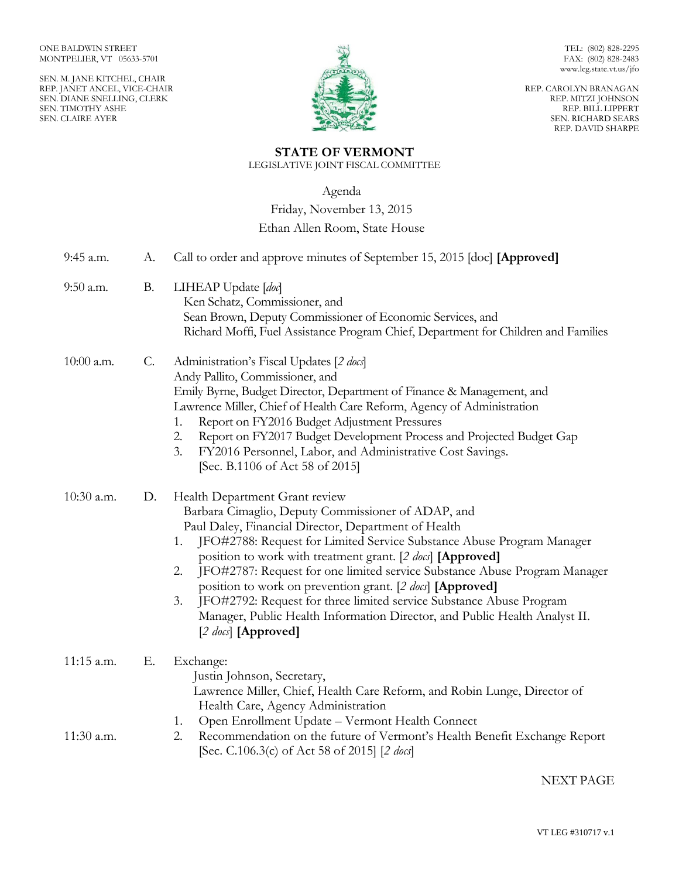SEN. M. JANE KITCHEL, CHAIR REP. JANET ANCEL, VICE-CHAIR SEN. DIANE SNELLING, CLERK SEN. TIMOTHY ASHE SEN. CLAIRE AYER



TEL: (802) 828-2295 FAX: (802) 828-2483 www.leg.state.vt.us/jfo

REP. CAROLYN BRANAGAN REP. MITZI JOHNSON REP. BILL LIPPERT SEN. RICHARD SEARS REP. DAVID SHARPE

# **STATE OF VERMONT**

LEGISLATIVE JOINT FISCAL COMMITTEE

Agenda

Friday, November 13, 2015

## Ethan Allen Room, State House

| 9:45 a.m.    | А.              | Call to order and approve minutes of September 15, 2015 [doc] [Approved]                                                                                                                                                                                                                                                                                                                                                                                                                                                                                                                                                              |
|--------------|-----------------|---------------------------------------------------------------------------------------------------------------------------------------------------------------------------------------------------------------------------------------------------------------------------------------------------------------------------------------------------------------------------------------------------------------------------------------------------------------------------------------------------------------------------------------------------------------------------------------------------------------------------------------|
| 9:50 a.m.    | <b>B.</b>       | LIHEAP Update [doc]<br>Ken Schatz, Commissioner, and<br>Sean Brown, Deputy Commissioner of Economic Services, and<br>Richard Moffi, Fuel Assistance Program Chief, Department for Children and Families                                                                                                                                                                                                                                                                                                                                                                                                                               |
| $10:00$ a.m. | $\mathcal{C}$ . | Administration's Fiscal Updates [2 docs]<br>Andy Pallito, Commissioner, and<br>Emily Byrne, Budget Director, Department of Finance & Management, and<br>Lawrence Miller, Chief of Health Care Reform, Agency of Administration<br>Report on FY2016 Budget Adjustment Pressures<br>1.<br>Report on FY2017 Budget Development Process and Projected Budget Gap<br>2.<br>3.<br>FY2016 Personnel, Labor, and Administrative Cost Savings.<br>[Sec. B.1106 of Act 58 of 2015]                                                                                                                                                              |
| 10:30 a.m.   | D.              | Health Department Grant review<br>Barbara Cimaglio, Deputy Commissioner of ADAP, and<br>Paul Daley, Financial Director, Department of Health<br>JFO#2788: Request for Limited Service Substance Abuse Program Manager<br>1.<br>position to work with treatment grant. [2 docs] [Approved]<br>JFO#2787: Request for one limited service Substance Abuse Program Manager<br>2.<br>position to work on prevention grant. [2 docs] [Approved]<br>JFO#2792: Request for three limited service Substance Abuse Program<br>3.<br>Manager, Public Health Information Director, and Public Health Analyst II.<br>[2 $\text{does}$ ] [Approved] |
| 11:15 a.m.   | Ε.              | Exchange:<br>Justin Johnson, Secretary,<br>Lawrence Miller, Chief, Health Care Reform, and Robin Lunge, Director of<br>Health Care, Agency Administration                                                                                                                                                                                                                                                                                                                                                                                                                                                                             |
| 11:30 a.m.   |                 | Open Enrollment Update - Vermont Health Connect<br>1.<br>Recommendation on the future of Vermont's Health Benefit Exchange Report<br>2.<br>[Sec. C.106.3(c) of Act 58 of 2015] [2 docs]                                                                                                                                                                                                                                                                                                                                                                                                                                               |

### NEXT PAGE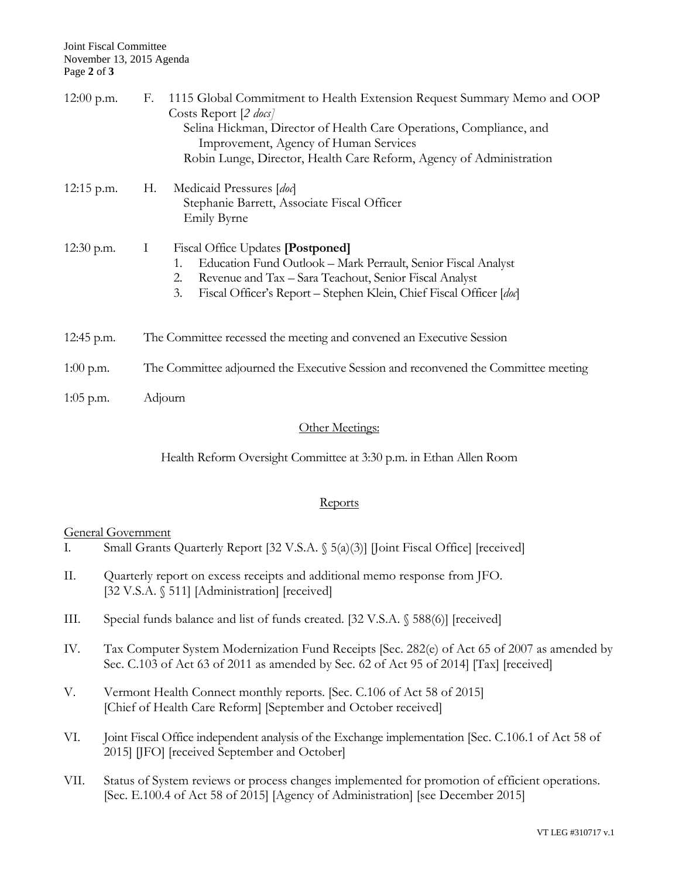| $12:00$ p.m. | 1115 Global Commitment to Health Extension Request Summary Memo and OOP<br>F.<br>Costs Report [2 <i>docs</i> ]<br>Selina Hickman, Director of Health Care Operations, Compliance, and<br>Improvement, Agency of Human Services<br>Robin Lunge, Director, Health Care Reform, Agency of Administration |  |
|--------------|-------------------------------------------------------------------------------------------------------------------------------------------------------------------------------------------------------------------------------------------------------------------------------------------------------|--|
| $12:15$ p.m. | Medicaid Pressures [doc]<br>Н.<br>Stephanie Barrett, Associate Fiscal Officer<br><b>Emily Byrne</b>                                                                                                                                                                                                   |  |
| $12:30$ p.m. | Ι<br>Fiscal Office Updates [Postponed]<br>Education Fund Outlook - Mark Perrault, Senior Fiscal Analyst<br>1.<br>2.<br>Revenue and Tax - Sara Teachout, Senior Fiscal Analyst<br>3.<br>Fiscal Officer's Report - Stephen Klein, Chief Fiscal Officer [doc]                                            |  |
| 12:45 p.m.   | The Committee recessed the meeting and convened an Executive Session                                                                                                                                                                                                                                  |  |
| $1:00$ p.m.  | The Committee adjourned the Executive Session and reconvened the Committee meeting                                                                                                                                                                                                                    |  |
| $1:05$ p.m.  | Adjourn                                                                                                                                                                                                                                                                                               |  |
|              |                                                                                                                                                                                                                                                                                                       |  |

#### Other Meetings:

Health Reform Oversight Committee at 3:30 p.m. in Ethan Allen Room

#### **Reports**

#### General Government

- I. Small Grants Quarterly Report [32 V.S.A. § 5(a)(3)] [Joint Fiscal Office] [received]
- II. Quarterly report on excess receipts and additional memo response from JFO. [32 V.S.A. § 511] [Administration] [received]
- III. Special funds balance and list of funds created. [32 V.S.A. § 588(6)] [received]
- IV. Tax Computer System Modernization Fund Receipts [Sec. 282(e) of Act 65 of 2007 as amended by Sec. C.103 of Act 63 of 2011 as amended by Sec. 62 of Act 95 of 2014] [Tax] [received]
- V. Vermont Health Connect monthly reports. [Sec. C.106 of Act 58 of 2015] [Chief of Health Care Reform] [September and October received]
- VI. Joint Fiscal Office independent analysis of the Exchange implementation [Sec. C.106.1 of Act 58 of 2015] [JFO] [received September and October]
- VII. Status of System reviews or process changes implemented for promotion of efficient operations. [Sec. E.100.4 of Act 58 of 2015] [Agency of Administration] [see December 2015]